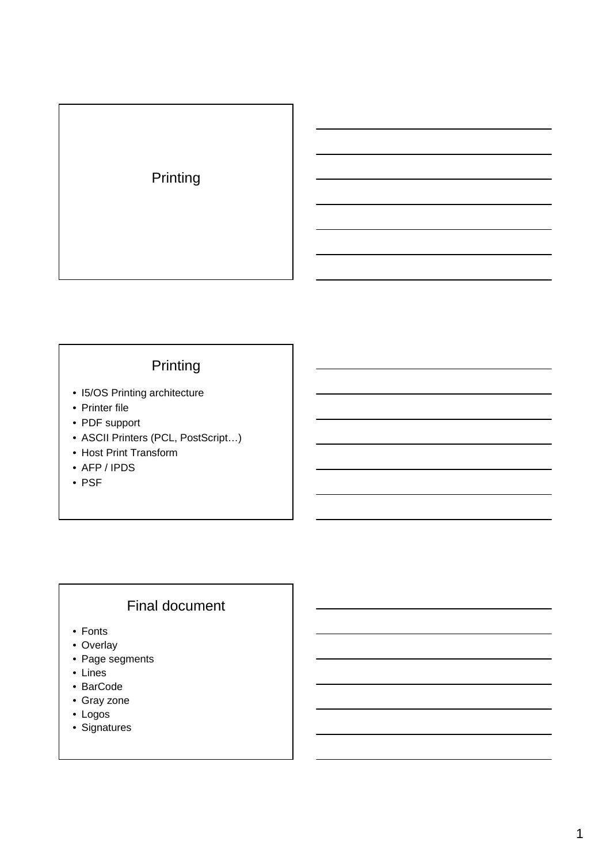

# Printing

- I5/OS Printing architecture
- Printer file
- PDF support
- ASCII Printers (PCL, PostScript…)
- Host Print Transform
- AFP / IPDS
- PSF

# Final document

- Fonts
- Overlay
- Page segments
- Lines
- BarCode
- Gray zone
- Logos
- Signatures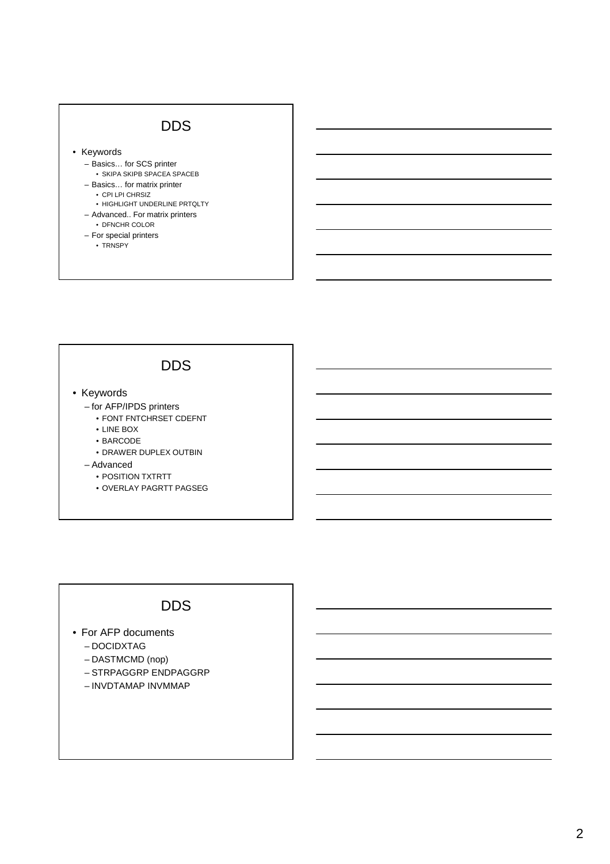### DDS

• Keywords

- Basics… for SCS printer
	- SKIPA SKIPB SPACEA SPACEB
- Basics… for matrix printer • CPI LPI CHRSIZ
	-
	- HIGHLIGHT UNDERLINE PRTQLTY
- Advanced.. For matrix printers • DFNCHR COLOR
- For special printers
	- TRNSPY
	-

#### DDS

- Keywords
	- for AFP/IPDS printers
		- FONT FNTCHRSET CDEFNT
		- LINE BOX
		- BARCODE
		- DRAWER DUPLEX OUTBIN
	- Advanced
		- POSITION TXTRTT
		- OVERLAY PAGRTT PAGSEG

#### DDS

- For AFP documents
	- DOCIDXTAG
	- DASTMCMD (nop)
	- STRPAGGRP ENDPAGGRP
	- INVDTAMAP INVMMAP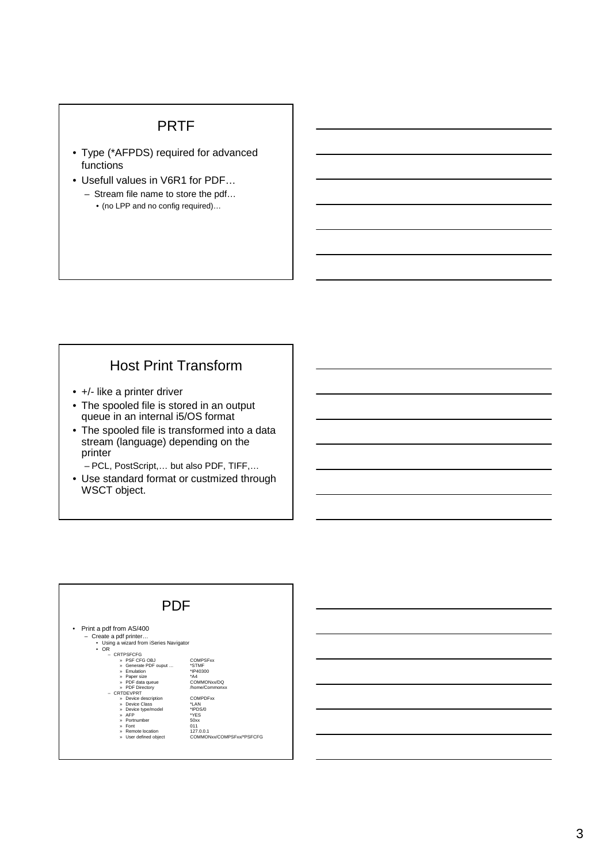#### PRTF

- Type (\*AFPDS) required for advanced functions
- Usefull values in V6R1 for PDF…
	- Stream file name to store the pdf… • (no LPP and no config required)…

### Host Print Transform

- +/- like a printer driver
- The spooled file is stored in an output queue in an internal i5/OS format
- The spooled file is transformed into a data stream (language) depending on the printer

– PCL, PostScript,… but also PDF, TIFF,…

• Use standard format or custmized through WSCT object.

| PDF                                                                                                                                                                                                                                                                 |                                                                                                      |
|---------------------------------------------------------------------------------------------------------------------------------------------------------------------------------------------------------------------------------------------------------------------|------------------------------------------------------------------------------------------------------|
| Print a pdf from AS/400<br>٠<br>$-$ Create a pdf printer<br>• Using a wizard from iSeries Navigator<br>$\cdot$ OR<br>$-$ CRTPSFCFG<br>» PSF CFG OBJ<br>» Generate PDF ouput<br>» Fmulation<br>Paper size<br>w<br>» PDF data queue<br>» PDF Directory<br>- CRTDFVPRT | <b>COMPSExx</b><br>*STMF<br>*IP40300<br>$^*AA$<br>COMMONxx/DO<br>/home/Commonxx                      |
| » Device description<br>» Device Class<br>Device type/model<br>w<br>AFP<br>Portnumber<br><b>W</b><br>Font<br><b>W</b><br>» Remote location<br>User defined object<br>×                                                                                              | <b>COMPDExx</b><br>*I AN<br>*IPDS/0<br>*YFS<br>50xx<br>011<br>127.0.0.1<br>COMMONxx/COMPSExx/*PSECEG |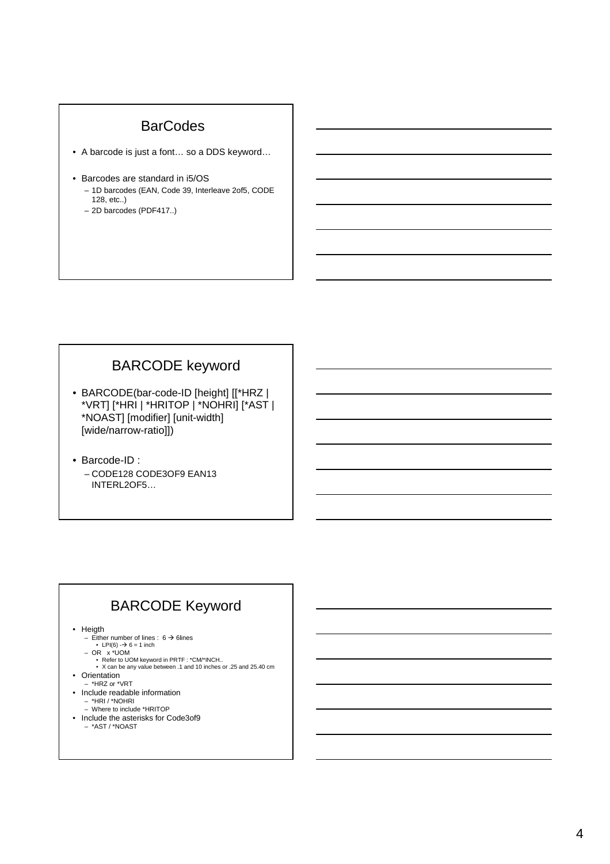#### **BarCodes**

- A barcode is just a font… so a DDS keyword…
- Barcodes are standard in i5/OS
	- 1D barcodes (EAN, Code 39, Interleave 2of5, CODE 128, etc..)
	- 2D barcodes (PDF417..)

# BARCODE keyword

- BARCODE(bar-code-ID [height] [[\*HRZ | \*VRT] [\*HRI | \*HRITOP | \*NOHRI] [\*AST | \*NOAST] [modifier] [unit-width] [wide/narrow-ratio]])
- Barcode-ID : – CODE128 CODE3OF9 EAN13 INTERL2OF5…

# BARCODE Keyword

- Heigth
	-
	-
	-
	- Either number of lines : 6 → 6lines<br>
	LPI(6) -→ 6 = 1 inch<br>
	OR x \*UOM<br>
	Refer to UOM keyword in PRTF : \*CM/\*INCH..<br>
	X can be any value between .1 and 10 inches or .25 and 25.40 cm
- Orientation \*HRZ or \*VRT
- Include readable information
	- \*HRI / \*NOHRI Where to include \*HRITOP
- Include the asterisks for Code3of9
	- \*AST / \*NOAST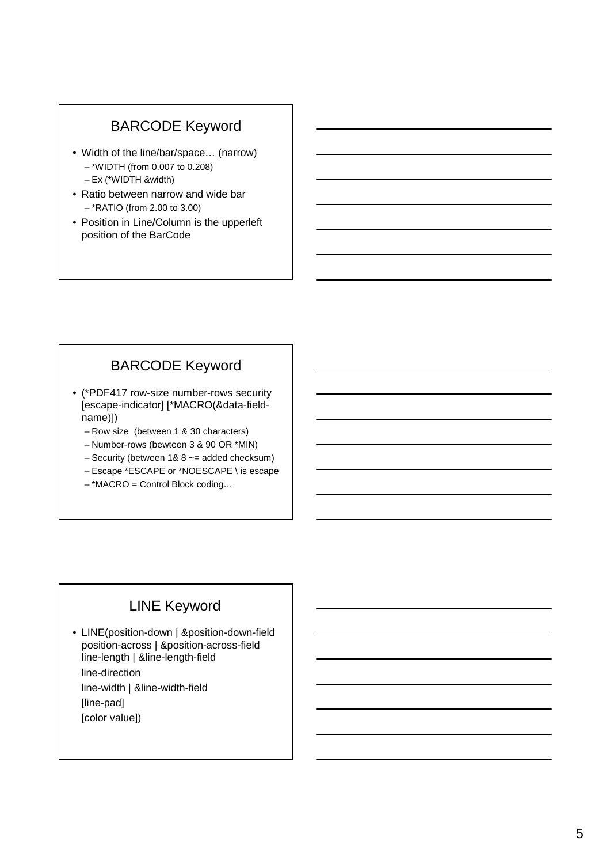# BARCODE Keyword

- Width of the line/bar/space… (narrow) – \*WIDTH (from 0.007 to 0.208) – Ex (\*WIDTH &width)
- Ratio between narrow and wide bar – \*RATIO (from 2.00 to 3.00)
- Position in Line/Column is the upperleft position of the BarCode

# BARCODE Keyword

- (\*PDF417 row-size number-rows security [escape-indicator] [\*MACRO(&data-fieldname)])
	- Row size (between 1 & 30 characters)
	- Number-rows (bewteen 3 & 90 OR \*MIN)
	- Security (between  $1& 8 \sim$  added checksum)
	- Escape \*ESCAPE or \*NOESCAPE \ is escape
	- \*MACRO = Control Block coding…

## LINE Keyword

- LINE(position-down | &position-down-field position-across | &position-across-field line-length | &line-length-field line-direction line-width | &line-width-field
	- [line-pad]
	- [color value])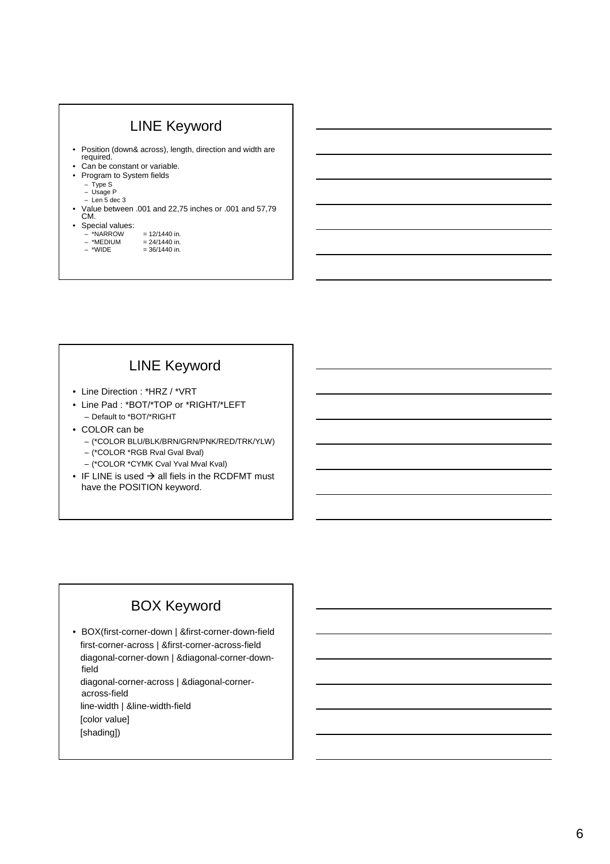# LINE Keyword

- Position (down& across), length, direction and width are required.
- Can be constant or variable.
- Program to System fields
	- Type S
	- Usage P Len 5 dec 3
- Value between .001 and 22,75 inches or .001 and 57,79 CM.
- Special values:
	- $-$  \*NARROW = 12/1440 in.<br> $-$  \*MEDIUM = 24/1440 in.
	- $-$  \*MEDIUM = 24/1440 in.<br>- \*WIDE = 36/1440 in.  $= 36/1440$  in.
		-

# LINE Keyword

- Line Direction : \*HRZ / \*VRT
- Line Pad : \*BOT/\*TOP or \*RIGHT/\*LEFT – Default to \*BOT/\*RIGHT
- COLOR can be
	- (\*COLOR BLU/BLK/BRN/GRN/PNK/RED/TRK/YLW)
	- (\*COLOR \*RGB Rval Gval Bval)
	- (\*COLOR \*CYMK Cval Yval Mval Kval)
- IF LINE is used  $\rightarrow$  all fiels in the RCDFMT must have the POSITION keyword.

# BOX Keyword

• BOX(first-corner-down | &first-corner-down-field first-corner-across | &first-corner-across-field diagonal-corner-down | &diagonal-corner-downfield diagonal-corner-across | &diagonal-corneracross-field line-width | &line-width-field

[color value]

[shading])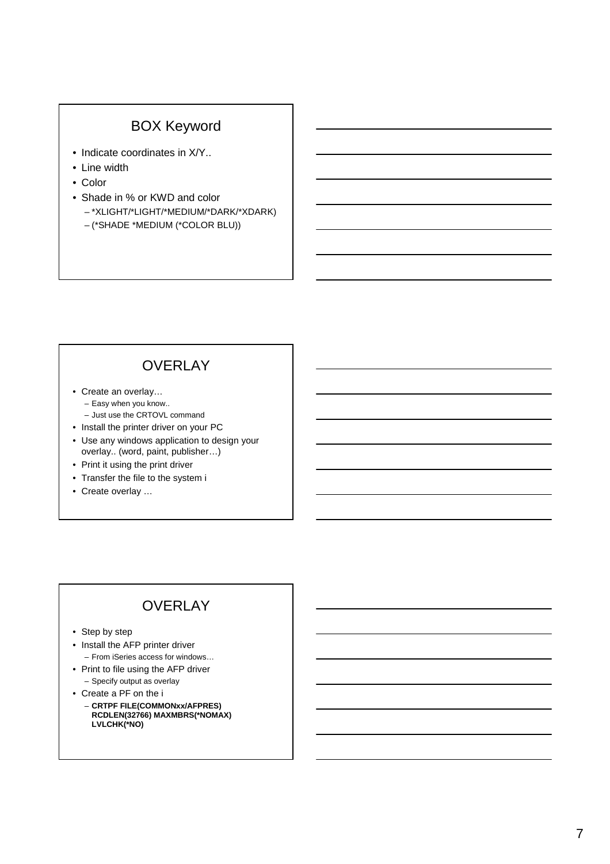### BOX Keyword

- Indicate coordinates in  $X/Y$ ..
- Line width
- Color
- Shade in % or KWD and color – \*XLIGHT/\*LIGHT/\*MEDIUM/\*DARK/\*XDARK)
	- (\*SHADE \*MEDIUM (\*COLOR BLU))

# **OVERLAY**

- Create an overlay… – Easy when you know.. – Just use the CRTOVL command
- Install the printer driver on your PC
- Use any windows application to design your overlay.. (word, paint, publisher…)
- Print it using the print driver
- Transfer the file to the system i
- Create overlay …

# **OVERLAY**

- Step by step
- Install the AFP printer driver – From iSeries access for windows…
- Print to file using the AFP driver – Specify output as overlay
- Create a PF on the i
	- **CRTPF FILE(COMMONxx/AFPRES) RCDLEN(32766) MAXMBRS(\*NOMAX) LVLCHK(\*NO)**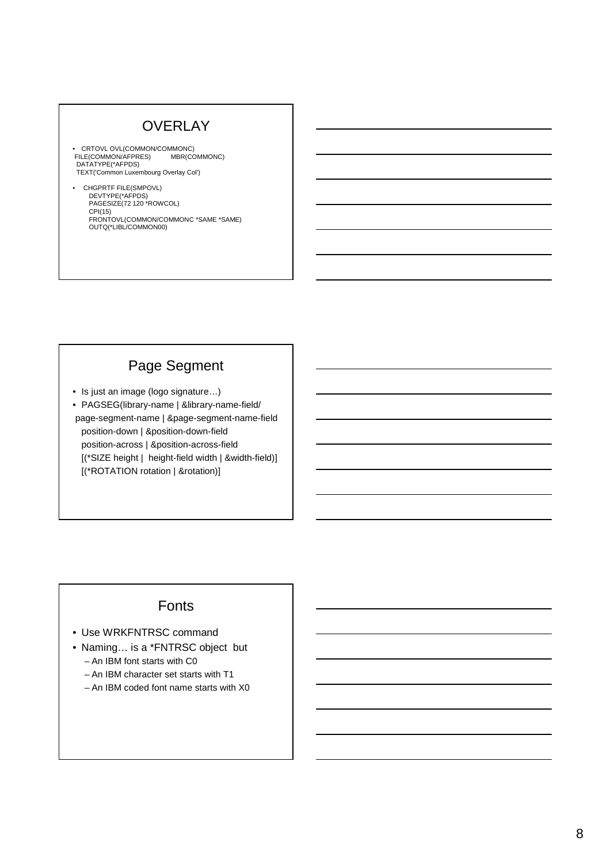# **OVERLAY**

- CRTOVL OVL(COMMON/COMMONC) FILE(COMMON/AFPRES) MBR(COMMONC) DATATYPE(\*AFPDS) TEXT('Common Luxembourg Overlay Col')
- CHGPRTF FILE(SMPOVL) DEVTYPE(\*AFPDS)<br>PAGESIZE(72 120 \*ROWCOL)<br>CPI(15) FRONTOVL(COMMON/COMMONC \*SAME \*SAME) OUTQ(\*LIBL/COMMON00)

### Page Segment

- Is just an image (logo signature…)
- PAGSEG(library-name | &library-name-field/ page-segment-name | &page-segment-name-field position-down | &position-down-field position-across | &position-across-field [(\*SIZE height | height-field width | &width-field)] [(\*ROTATION rotation | &rotation)]

#### Fonts

- Use WRKFNTRSC command
- Naming… is a \*FNTRSC object but – An IBM font starts with C0
	- An IBM character set starts with T1
	- An IBM coded font name starts with X0